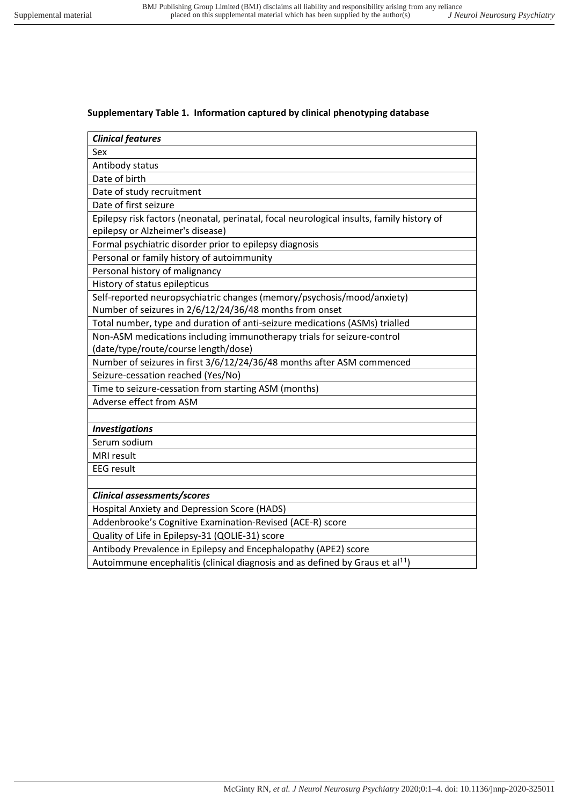## **Supplementary Table 1. Information captured by clinical phenotyping database**

| <b>Clinical features</b>                                                                  |
|-------------------------------------------------------------------------------------------|
| Sex                                                                                       |
| Antibody status                                                                           |
| Date of birth                                                                             |
| Date of study recruitment                                                                 |
| Date of first seizure                                                                     |
| Epilepsy risk factors (neonatal, perinatal, focal neurological insults, family history of |
| epilepsy or Alzheimer's disease)                                                          |
| Formal psychiatric disorder prior to epilepsy diagnosis                                   |
| Personal or family history of autoimmunity                                                |
| Personal history of malignancy                                                            |
| History of status epilepticus                                                             |
| Self-reported neuropsychiatric changes (memory/psychosis/mood/anxiety)                    |
| Number of seizures in 2/6/12/24/36/48 months from onset                                   |
| Total number, type and duration of anti-seizure medications (ASMs) trialled               |
| Non-ASM medications including immunotherapy trials for seizure-control                    |
| (date/type/route/course length/dose)                                                      |
| Number of seizures in first 3/6/12/24/36/48 months after ASM commenced                    |
| Seizure-cessation reached (Yes/No)                                                        |
| Time to seizure-cessation from starting ASM (months)                                      |
| Adverse effect from ASM                                                                   |
|                                                                                           |
| <b>Investigations</b>                                                                     |
| Serum sodium                                                                              |
| MRI result                                                                                |
| <b>EEG</b> result                                                                         |
|                                                                                           |
| Clinical assessments/scores                                                               |
| Hospital Anxiety and Depression Score (HADS)                                              |
| Addenbrooke's Cognitive Examination-Revised (ACE-R) score                                 |
| Quality of Life in Epilepsy-31 (QOLIE-31) score                                           |
| Antibody Prevalence in Epilepsy and Encephalopathy (APE2) score                           |
| Autoimmune encephalitis (clinical diagnosis and as defined by Graus et al <sup>11</sup> ) |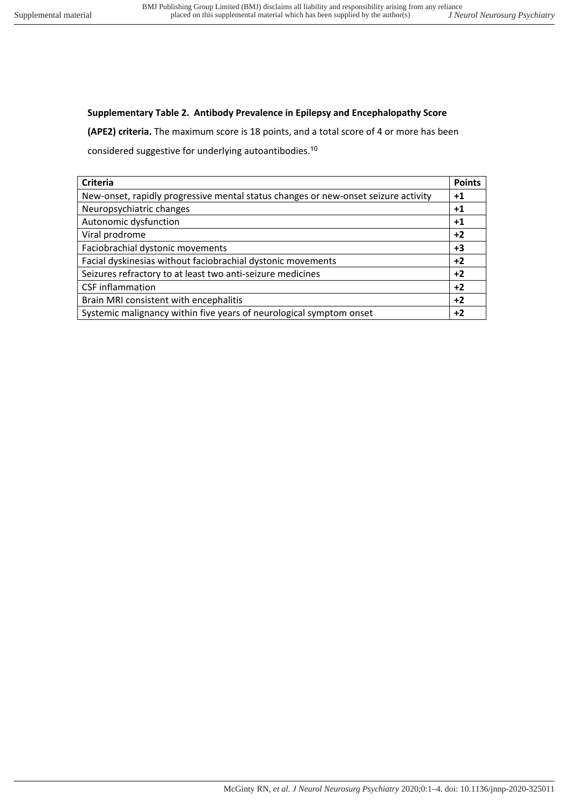## **Supplementary Table 2. Antibody Prevalence in Epilepsy and Encephalopathy Score**

**(APE2) criteria.** The maximum score is 18 points, and a total score of 4 or more has been

considered suggestive for underlying autoantibodies.<sup>10</sup>

| Criteria                                                                           | <b>Points</b> |
|------------------------------------------------------------------------------------|---------------|
| New-onset, rapidly progressive mental status changes or new-onset seizure activity | $+1$          |
| Neuropsychiatric changes                                                           | $+1$          |
| Autonomic dysfunction                                                              | $+1$          |
| Viral prodrome                                                                     | $+2$          |
| Faciobrachial dystonic movements                                                   | $+3$          |
| Facial dyskinesias without faciobrachial dystonic movements                        | $+2$          |
| Seizures refractory to at least two anti-seizure medicines                         | $+2$          |
| <b>CSF</b> inflammation                                                            | $+2$          |
| Brain MRI consistent with encephalitis                                             | $+2$          |
| Systemic malignancy within five years of neurological symptom onset                | $+2$          |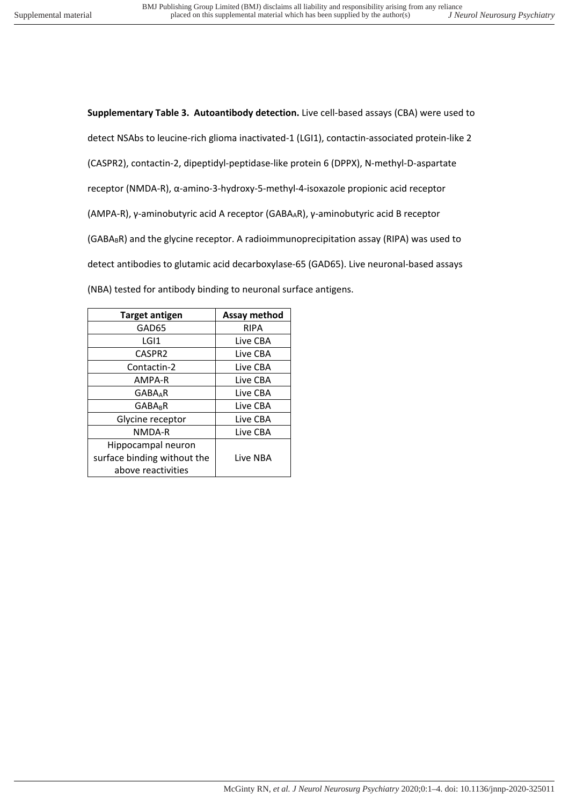**Supplementary Table 3. Autoantibody detection.** Live cell-based assays (CBA) were used to detect NSAbs to leucine-rich glioma inactivated-1 (LGI1), contactin-associated protein-like 2 (CASPR2), contactin-2, dipeptidyl-peptidase-like protein 6 (DPPX), N-methyl-D-aspartate receptor (NMDA-R), α-amino-3-hydroxy-5-methyl-4-isoxazole propionic acid receptor (AMPA-R), γ-aminobutyric acid A receptor (GABAAR), γ-aminobutyric acid B receptor  $(GABA_BR)$  and the glycine receptor. A radioimmunoprecipitation assay (RIPA) was used to detect antibodies to glutamic acid decarboxylase-65 (GAD65). Live neuronal-based assays (NBA) tested for antibody binding to neuronal surface antigens.

| <b>Target antigen</b>       | Assay method |
|-----------------------------|--------------|
| GAD65                       | <b>RIPA</b>  |
| LGI1                        | Live CBA     |
| CASPR <sub>2</sub>          | Live CBA     |
| Contactin-2                 | Live CBA     |
| AMPA-R                      | Live CBA     |
| <b>GABAAR</b>               | Live CBA     |
| <b>GABAR</b>                | Live CBA     |
| Glycine receptor            | Live CBA     |
| NMDA-R                      | Live CBA     |
| Hippocampal neuron          |              |
| surface binding without the | Live NBA     |
| above reactivities          |              |